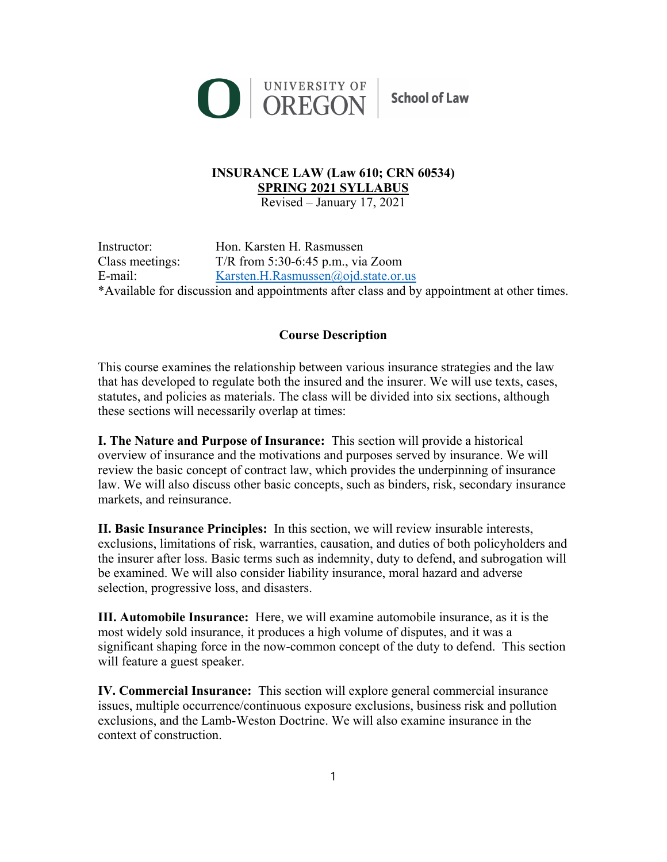

## **INSURANCE LAW (Law 610; CRN 60534) SPRING 2021 SYLLABUS**

Revised – January 17, 2021

Instructor: Hon. Karsten H. Rasmussen Class meetings: T/R from 5:30-6:45 p.m., via Zoom E-mail: Karsten.H.Rasmussen@ojd.state.or.us \*Available for discussion and appointments after class and by appointment at other times.

### **Course Description**

This course examines the relationship between various insurance strategies and the law that has developed to regulate both the insured and the insurer. We will use texts, cases, statutes, and policies as materials. The class will be divided into six sections, although these sections will necessarily overlap at times:

**I. The Nature and Purpose of Insurance:** This section will provide a historical overview of insurance and the motivations and purposes served by insurance. We will review the basic concept of contract law, which provides the underpinning of insurance law. We will also discuss other basic concepts, such as binders, risk, secondary insurance markets, and reinsurance.

**II. Basic Insurance Principles:** In this section, we will review insurable interests, exclusions, limitations of risk, warranties, causation, and duties of both policyholders and the insurer after loss. Basic terms such as indemnity, duty to defend, and subrogation will be examined. We will also consider liability insurance, moral hazard and adverse selection, progressive loss, and disasters.

**III. Automobile Insurance:** Here, we will examine automobile insurance, as it is the most widely sold insurance, it produces a high volume of disputes, and it was a significant shaping force in the now-common concept of the duty to defend. This section will feature a guest speaker.

**IV. Commercial Insurance:** This section will explore general commercial insurance issues, multiple occurrence/continuous exposure exclusions, business risk and pollution exclusions, and the Lamb-Weston Doctrine. We will also examine insurance in the context of construction.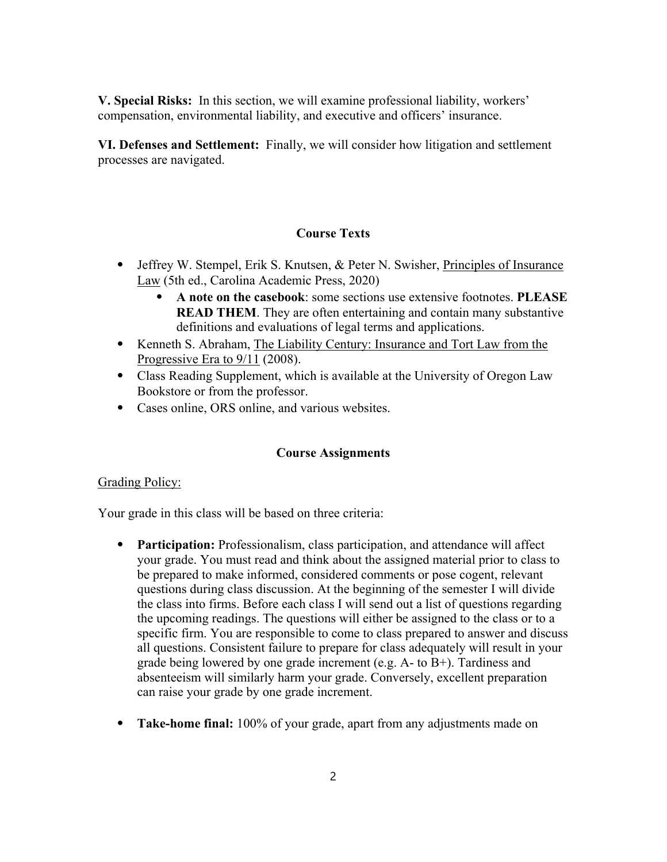**V. Special Risks:** In this section, we will examine professional liability, workers' compensation, environmental liability, and executive and officers' insurance.

**VI. Defenses and Settlement:** Finally, we will consider how litigation and settlement processes are navigated.

#### **Course Texts**

- Jeffrey W. Stempel, Erik S. Knutsen, & Peter N. Swisher, Principles of Insurance Law (5th ed., Carolina Academic Press, 2020)
	- ⦁ **A note on the casebook**: some sections use extensive footnotes. **PLEASE READ THEM.** They are often entertaining and contain many substantive definitions and evaluations of legal terms and applications.
- ⦁ Kenneth S. Abraham, The Liability Century: Insurance and Tort Law from the Progressive Era to 9/11 (2008).
- ⦁ Class Reading Supplement, which is available at the University of Oregon Law Bookstore or from the professor.
- ⦁ Cases online, ORS online, and various websites.

#### **Course Assignments**

#### Grading Policy:

Your grade in this class will be based on three criteria:

- ⦁ **Participation:** Professionalism, class participation, and attendance will affect your grade. You must read and think about the assigned material prior to class to be prepared to make informed, considered comments or pose cogent, relevant questions during class discussion. At the beginning of the semester I will divide the class into firms. Before each class I will send out a list of questions regarding the upcoming readings. The questions will either be assigned to the class or to a specific firm. You are responsible to come to class prepared to answer and discuss all questions. Consistent failure to prepare for class adequately will result in your grade being lowered by one grade increment (e.g. A- to B+). Tardiness and absenteeism will similarly harm your grade. Conversely, excellent preparation can raise your grade by one grade increment.
- ⦁ **Take-home final:** 100% of your grade, apart from any adjustments made on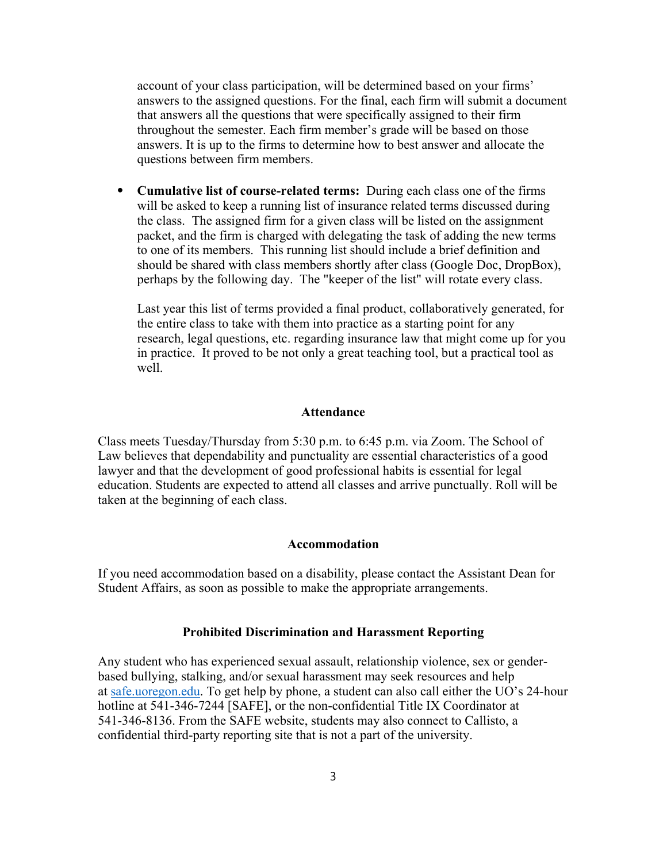account of your class participation, will be determined based on your firms' answers to the assigned questions. For the final, each firm will submit a document that answers all the questions that were specifically assigned to their firm throughout the semester. Each firm member's grade will be based on those answers. It is up to the firms to determine how to best answer and allocate the questions between firm members.

⦁ **Cumulative list of course-related terms:** During each class one of the firms will be asked to keep a running list of insurance related terms discussed during the class. The assigned firm for a given class will be listed on the assignment packet, and the firm is charged with delegating the task of adding the new terms to one of its members. This running list should include a brief definition and should be shared with class members shortly after class (Google Doc, DropBox), perhaps by the following day. The "keeper of the list" will rotate every class.

Last year this list of terms provided a final product, collaboratively generated, for the entire class to take with them into practice as a starting point for any research, legal questions, etc. regarding insurance law that might come up for you in practice. It proved to be not only a great teaching tool, but a practical tool as well.

#### **Attendance**

Class meets Tuesday/Thursday from 5:30 p.m. to 6:45 p.m. via Zoom. The School of Law believes that dependability and punctuality are essential characteristics of a good lawyer and that the development of good professional habits is essential for legal education. Students are expected to attend all classes and arrive punctually. Roll will be taken at the beginning of each class.

#### **Accommodation**

If you need accommodation based on a disability, please contact the Assistant Dean for Student Affairs, as soon as possible to make the appropriate arrangements.

#### **Prohibited Discrimination and Harassment Reporting**

Any student who has experienced sexual assault, relationship violence, sex or genderbased bullying, stalking, and/or sexual harassment may seek resources and help at safe.uoregon.edu. To get help by phone, a student can also call either the UO's 24-hour hotline at 541-346-7244 [SAFE], or the non-confidential Title IX Coordinator at 541-346-8136. From the SAFE website, students may also connect to Callisto, a confidential third-party reporting site that is not a part of the university.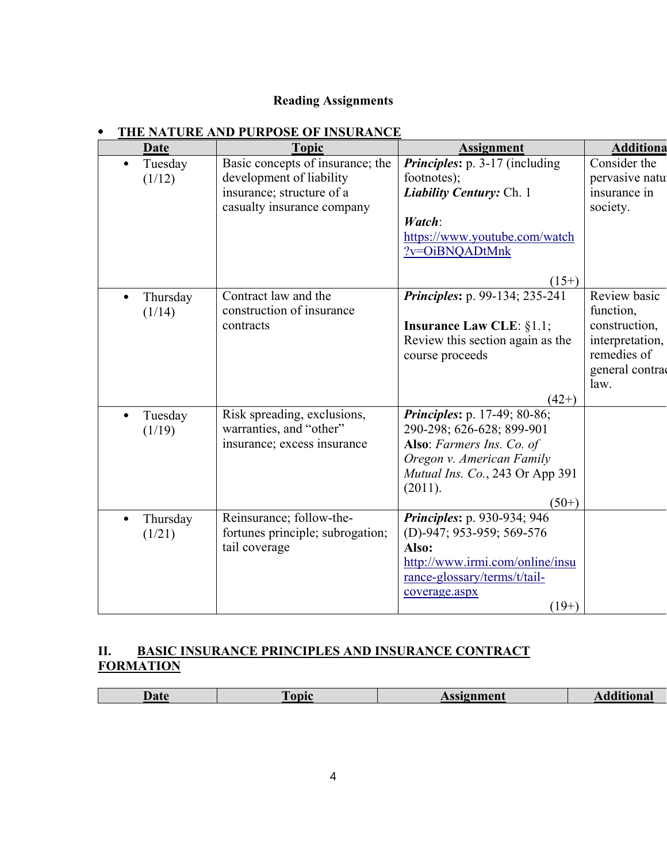### **Reading Assignments**

| <b>Date</b> | <b>Topic</b>                     | <b>Assignment</b>                   | <b>Additiona</b> |
|-------------|----------------------------------|-------------------------------------|------------------|
| Tuesday     | Basic concepts of insurance; the | Principles: p. 3-17 (including      | Consider the     |
| (1/12)      | development of liability         | footnotes);                         | pervasive natu   |
|             | insurance; structure of a        | <b>Liability Century: Ch. 1</b>     | insurance in     |
|             | casualty insurance company       |                                     | society.         |
|             |                                  | Watch:                              |                  |
|             |                                  | https://www.youtube.com/watch       |                  |
|             |                                  | ?v=OiBNQADtMnk                      |                  |
|             |                                  |                                     |                  |
|             |                                  | $(15+)$                             |                  |
| Thursday    | Contract law and the             | Principles: p. 99-134; 235-241      | Review basic     |
| (1/14)      | construction of insurance        |                                     | function,        |
|             | contracts                        | <b>Insurance Law CLE: §1.1;</b>     | construction,    |
|             |                                  | Review this section again as the    | interpretation,  |
|             |                                  | course proceeds                     | remedies of      |
|             |                                  |                                     | general contra   |
|             |                                  |                                     | law.             |
|             |                                  | $(42+)$                             |                  |
| Tuesday     | Risk spreading, exclusions,      | <i>Principles: p. 17-49; 80-86;</i> |                  |
| (1/19)      | warranties, and "other"          | 290-298; 626-628; 899-901           |                  |
|             | insurance; excess insurance      | Also: Farmers Ins. Co. of           |                  |
|             |                                  | Oregon v. American Family           |                  |
|             |                                  | Mutual Ins. Co., 243 Or App 391     |                  |
|             |                                  | (2011).                             |                  |
|             |                                  | $(50+)$                             |                  |
| Thursday    | Reinsurance; follow-the-         | Principles: p. 930-934; 946         |                  |
| (1/21)      | fortunes principle; subrogation; | (D)-947; 953-959; 569-576           |                  |
|             | tail coverage                    | Also:                               |                  |
|             |                                  | http://www.irmi.com/online/insu     |                  |
|             |                                  | rance-glossary/terms/t/tail-        |                  |
|             |                                  | coverage.aspx                       |                  |
|             |                                  | $(19+)$                             |                  |

## ⦁ **THE NATURE AND PURPOSE OF INSURANCE**

## **II. BASIC INSURANCE PRINCIPLES AND INSURANCE CONTRACT FORMATION**

| Iate<br>uu | `onic_ | ssignment |  |
|------------|--------|-----------|--|
|            |        |           |  |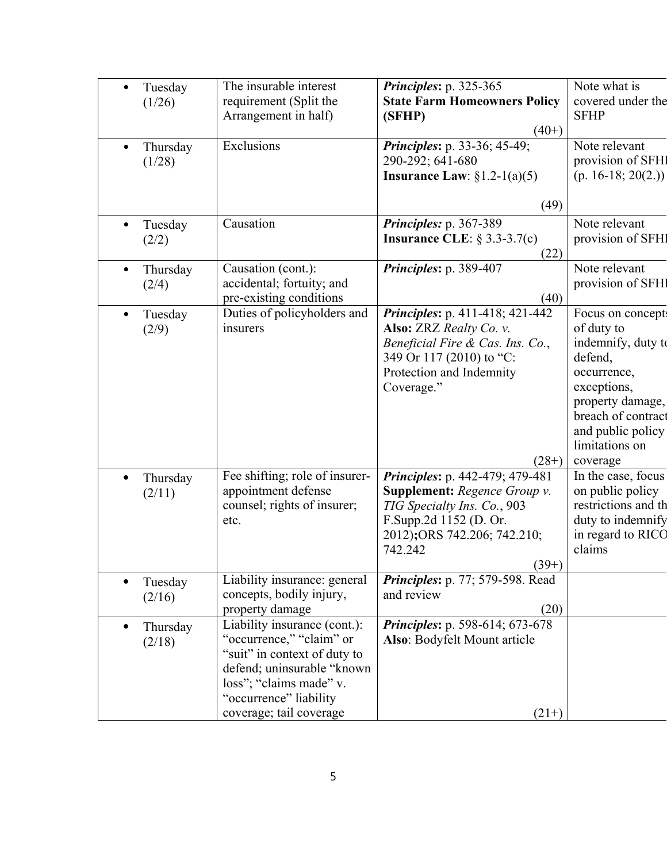|           | Tuesday  | The insurable interest         | Principles: p. 325-365                 | Note what is         |
|-----------|----------|--------------------------------|----------------------------------------|----------------------|
|           | (1/26)   | requirement (Split the         | <b>State Farm Homeowners Policy</b>    | covered under the    |
|           |          | Arrangement in half)           | (SFHP)                                 | <b>SFHP</b>          |
|           |          |                                | $(40+)$                                |                      |
| $\bullet$ | Thursday | Exclusions                     | Principles: p. 33-36; 45-49;           | Note relevant        |
|           | (1/28)   |                                | 290-292; 641-680                       | provision of SFHI    |
|           |          |                                | Insurance Law: $\S1.2-1(a)(5)$         | $(p. 16-18; 20(2.))$ |
|           |          |                                |                                        |                      |
|           |          |                                | (49)                                   |                      |
| $\bullet$ | Tuesday  | Causation                      | Principles: p. 367-389                 | Note relevant        |
|           | (2/2)    |                                | Insurance CLE: $\S$ 3.3-3.7(c)         | provision of SFHI    |
|           |          |                                | (22)                                   |                      |
|           | Thursday | Causation (cont.):             | Principles: p. 389-407                 | Note relevant        |
|           | (2/4)    | accidental; fortuity; and      |                                        | provision of SFHI    |
|           |          | pre-existing conditions        | (40)                                   |                      |
| $\bullet$ | Tuesday  | Duties of policyholders and    | Principles: p. 411-418; 421-442        | Focus on concept:    |
|           | (2/9)    | insurers                       | Also: ZRZ Realty Co. v.                | of duty to           |
|           |          |                                | Beneficial Fire & Cas. Ins. Co.,       | indemnify, duty to   |
|           |          |                                | 349 Or 117 (2010) to "C:               | defend,              |
|           |          |                                | Protection and Indemnity               | occurrence,          |
|           |          |                                | Coverage."                             | exceptions,          |
|           |          |                                |                                        | property damage,     |
|           |          |                                |                                        | breach of contract   |
|           |          |                                |                                        | and public policy    |
|           |          |                                |                                        | limitations on       |
|           |          |                                | $(28+)$                                | coverage             |
|           | Thursday | Fee shifting; role of insurer- | Principles: p. 442-479; 479-481        | In the case, focus   |
|           | (2/11)   | appointment defense            | <b>Supplement:</b> Regence Group v.    | on public policy     |
|           |          | counsel; rights of insurer;    | TIG Specialty Ins. Co., 903            | restrictions and th  |
|           |          | etc.                           | F.Supp.2d 1152 (D. Or.                 | duty to indemnify    |
|           |          |                                | 2012); ORS 742.206; 742.210;           | in regard to RICC    |
|           |          |                                | 742.242                                | claims               |
|           |          |                                | $(39+)$                                |                      |
|           | Tuesday  | Liability insurance: general   | Principles: p. 77; 579-598. Read       |                      |
|           | (2/16)   | concepts, bodily injury,       | and review                             |                      |
|           |          | property damage                | (20)                                   |                      |
|           | Thursday | Liability insurance (cont.):   | <i>Principles: p. 598-614; 673-678</i> |                      |
|           | (2/18)   | "occurrence," "claim" or       | Also: Bodyfelt Mount article           |                      |
|           |          | "suit" in context of duty to   |                                        |                      |
|           |          | defend; uninsurable "known     |                                        |                      |
|           |          | loss"; "claims made" v.        |                                        |                      |
|           |          | "occurrence" liability         |                                        |                      |
|           |          | coverage; tail coverage        | $(21+)$                                |                      |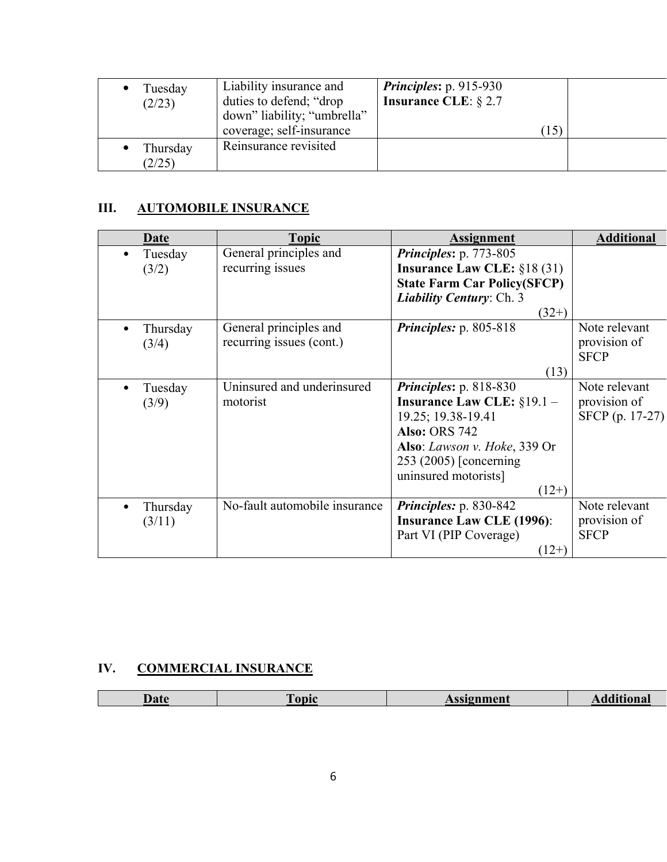| Tuesday<br>(2/23)  | Liability insurance and<br>duties to defend; "drop<br>down" liability; "umbrella"<br>coverage; self-insurance | <i>Principles:</i> $p. 915-930$<br><b>Insurance CLE:</b> $\S 2.7$<br>$\left 15\right\rangle$ |  |
|--------------------|---------------------------------------------------------------------------------------------------------------|----------------------------------------------------------------------------------------------|--|
| Thursday<br>(2/25) | Reinsurance revisited                                                                                         |                                                                                              |  |

# **III. AUTOMOBILE INSURANCE**

| Date     | <b>Topic</b>                  | <b>Assignment</b>                   | <b>Additional</b> |
|----------|-------------------------------|-------------------------------------|-------------------|
| Tuesday  | General principles and        | <i>Principles: p. 773-805</i>       |                   |
| (3/2)    | recurring issues              | Insurance Law CLE: $§18(31)$        |                   |
|          |                               | <b>State Farm Car Policy(SFCP)</b>  |                   |
|          |                               | <b>Liability Century: Ch. 3</b>     |                   |
|          |                               | $(32+)$                             |                   |
| Thursday | General principles and        | <i>Principles:</i> $p. 805-818$     | Note relevant     |
| (3/4)    | recurring issues (cont.)      |                                     | provision of      |
|          |                               |                                     | <b>SFCP</b>       |
|          |                               | (13)                                |                   |
| Tuesday  | Uninsured and underinsured    | <i>Principles:</i> $p. 818-830$     | Note relevant     |
| (3/9)    | motorist                      | <b>Insurance Law CLE:</b> $§19.1 -$ | provision of      |
|          |                               | 19.25; 19.38-19.41                  | SFCP (p. 17-27)   |
|          |                               | <b>Also: ORS 742</b>                |                   |
|          |                               | Also: Lawson v. Hoke, 339 Or        |                   |
|          |                               | 253 (2005) [concerning]             |                   |
|          |                               | uninsured motorists]                |                   |
|          |                               | $(12+)$                             |                   |
| Thursday | No-fault automobile insurance | Principles: p. 830-842              | Note relevant     |
| (3/11)   |                               | <b>Insurance Law CLE (1996):</b>    | provision of      |
|          |                               | Part VI (PIP Coverage)              | <b>SFCP</b>       |
|          |                               | $(12+)$                             |                   |

# **IV. COMMERCIAL INSURANCE**

| lata<br>rac | `onie | ssignment | чопаг |
|-------------|-------|-----------|-------|
|             |       |           |       |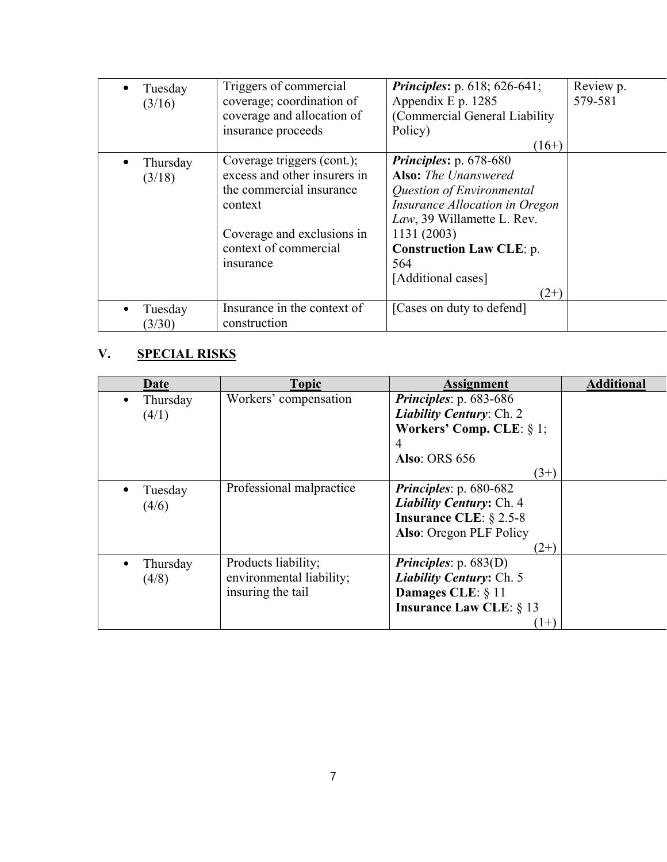| Tuesday<br>(3/16)  | Triggers of commercial<br>coverage; coordination of<br>coverage and allocation of<br>insurance proceeds                                                                       | <b>Principles:</b> p. 618; 626-641;<br>Appendix E $p. 1285$<br>(Commercial General Liability)<br>Policy)<br>$(16+)$                                                                                                                                | Review p.<br>579-581 |
|--------------------|-------------------------------------------------------------------------------------------------------------------------------------------------------------------------------|----------------------------------------------------------------------------------------------------------------------------------------------------------------------------------------------------------------------------------------------------|----------------------|
| Thursday<br>(3/18) | Coverage triggers (cont.);<br>excess and other insurers in<br>the commercial insurance<br>context<br>Coverage and exclusions in<br>context of commercial<br><i>s</i> nsurance | Principles: p. 678-680<br><b>Also:</b> The Unanswered<br>Question of Environmental<br><i>Insurance Allocation in Oregon</i><br>Law, 39 Willamette L. Rev.<br>1131 (2003)<br><b>Construction Law CLE: p.</b><br>564<br>[Additional cases]<br>$(2+)$ |                      |
| Tuesday<br>(3/30)  | Insurance in the context of<br>construction                                                                                                                                   | [Cases on duty to defend]                                                                                                                                                                                                                          |                      |

# **V. SPECIAL RISKS**

| Date     | <b>Topic</b>             | <b>Assignment</b>                | <b>Additional</b> |
|----------|--------------------------|----------------------------------|-------------------|
| Thursday | Workers' compensation    | Principles: p. 683-686           |                   |
| (4/1)    |                          | Liability Century: Ch. 2         |                   |
|          |                          | Workers' Comp. CLE: $\S$ 1;      |                   |
|          |                          | 4                                |                   |
|          |                          | <b>Also: ORS 656</b>             |                   |
|          |                          | $(3+)$                           |                   |
| Tuesday  | Professional malpractice | <i>Principles:</i> $p.680-682$   |                   |
| (4/6)    |                          | Liability Century: Ch. 4         |                   |
|          |                          | <b>Insurance CLE:</b> $\S$ 2.5-8 |                   |
|          |                          | Also: Oregon PLF Policy          |                   |
|          |                          | $(2+)$                           |                   |
| Thursday | Products liability;      | <i>Principles:</i> p. $683(D)$   |                   |
| (4/8)    | environmental liability; | <b>Liability Century: Ch. 5</b>  |                   |
|          | insuring the tail        | Damages CLE: § 11                |                   |
|          |                          | <b>Insurance Law CLE: § 13</b>   |                   |
|          |                          | $(1+)$                           |                   |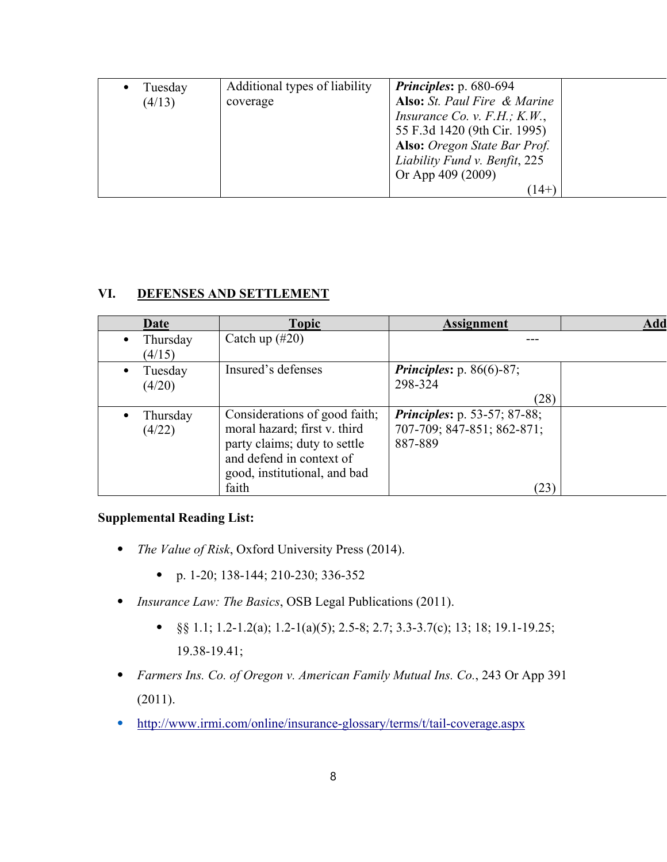| Tuesday | Additional types of liability | <b>Principles:</b> p. 680-694       |  |
|---------|-------------------------------|-------------------------------------|--|
| (4/13)  | coverage                      | Also: St. Paul Fire & Marine        |  |
|         |                               | <i>Insurance Co. v. F.H.; K.W.,</i> |  |
|         |                               | 55 F.3d 1420 (9th Cir. 1995)        |  |
|         |                               | Also: Oregon State Bar Prof.        |  |
|         |                               | Liability Fund v. Benfit, 225       |  |
|         |                               | Or App 409 (2009)                   |  |
|         |                               | (14+                                |  |
|         |                               |                                     |  |

### **VI. DEFENSES AND SETTLEMENT**

| Date                           | <b>Topic</b>                                                                                                                                                       | <b>Assignment</b>                                                                    | Add |
|--------------------------------|--------------------------------------------------------------------------------------------------------------------------------------------------------------------|--------------------------------------------------------------------------------------|-----|
| Thursday<br>(4/15)             | Catch up $(\#20)$                                                                                                                                                  |                                                                                      |     |
| Tuesday<br>$\bullet$<br>(4/20) | Insured's defenses                                                                                                                                                 | <b>Principles:</b> p. 86(6)-87;<br>298-324<br>(28)                                   |     |
| Thursday<br>(4/22)             | Considerations of good faith;<br>moral hazard; first v. third<br>party claims; duty to settle<br>and defend in context of<br>good, institutional, and bad<br>faith | <b>Principles:</b> p. 53-57; 87-88;<br>707-709; 847-851; 862-871;<br>887-889<br>(23) |     |

### **Supplemental Reading List:**

- ⦁ *The Value of Risk*, Oxford University Press (2014).
	- ⦁ p. 1-20; 138-144; 210-230; 336-352
- ⦁ *Insurance Law: The Basics*, OSB Legal Publications (2011).
	- §§ 1.1; 1.2-1.2(a); 1.2-1(a)(5); 2.5-8; 2.7; 3.3-3.7(c); 13; 18; 19.1-19.25; 19.38-19.41;
- ⦁ *Farmers Ins. Co. of Oregon v. American Family Mutual Ins. Co.*, 243 Or App 391 (2011).
- ⦁ http://www.irmi.com/online/insurance-glossary/terms/t/tail-coverage.aspx